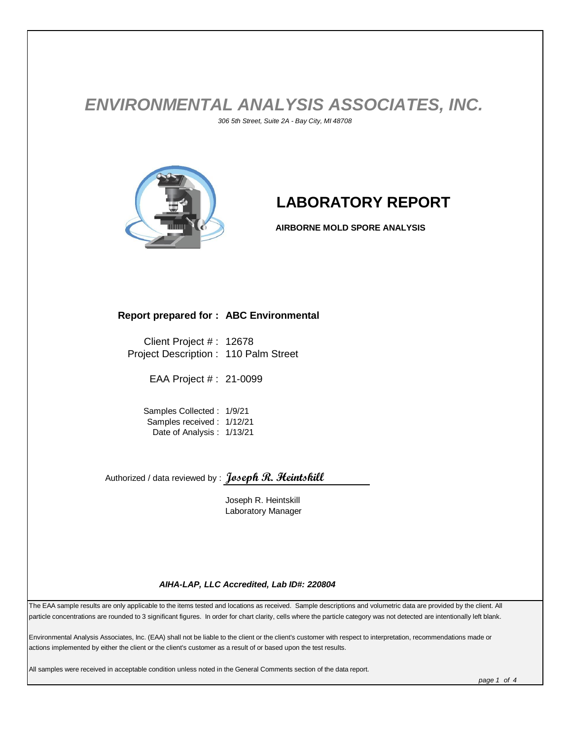## *ENVIRONMENTAL ANALYSIS ASSOCIATES, INC. 306 5th Street, Suite 2A - Bay City, MI 48708*



# **LABORATORY REPORT**

**AIRBORNE MOLD SPORE ANALYSIS**

#### **Report prepared for : ABC Environmental**

Client Project # : 12678 Project Description : 110 Palm Street

EAA Project # : 21-0099

Samples Collected : 1/9/21 Samples received : 1/12/21 Date of Analysis : 1/13/21

Authorized / data reviewed by : **Joseph R. Heintskill**

Joseph R. Heintskill Laboratory Manager

#### *AIHA-LAP, LLC Accredited, Lab ID#: 220804*

The EAA sample results are only applicable to the items tested and locations as received. Sample descriptions and volumetric data are provided by the client. All particle concentrations are rounded to 3 significant figures. In order for chart clarity, cells where the particle category was not detected are intentionally left blank.

Environmental Analysis Associates, Inc. (EAA) shall not be liable to the client or the client's customer with respect to interpretation, recommendations made or actions implemented by either the client or the client's customer as a result of or based upon the test results.

All samples were received in acceptable condition unless noted in the General Comments section of the data report.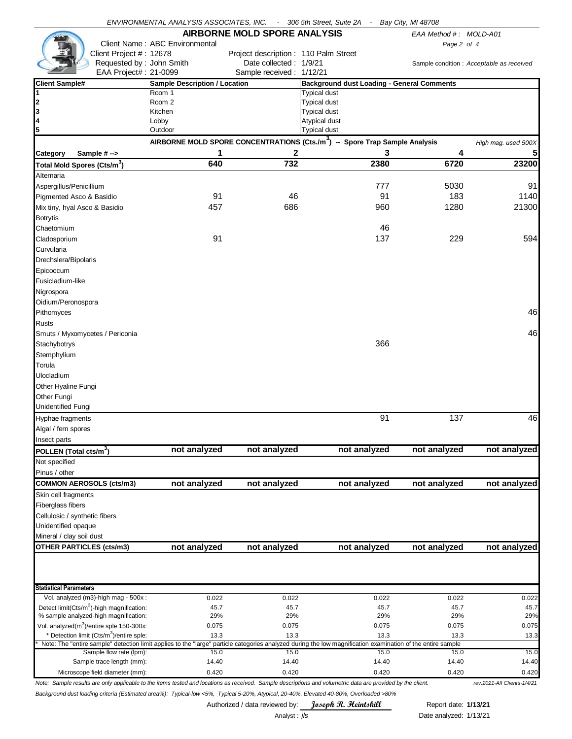|                                                                                                                                                             | ENVIRONMENTAL ANALYSIS ASSOCIATES, INC. |                                                                                         | - 306 5th Street, Suite 2A                        | $\sim$ $-$    | Bay City, MI 48708     |                                           |
|-------------------------------------------------------------------------------------------------------------------------------------------------------------|-----------------------------------------|-----------------------------------------------------------------------------------------|---------------------------------------------------|---------------|------------------------|-------------------------------------------|
|                                                                                                                                                             |                                         | <b>AIRBORNE MOLD SPORE ANALYSIS</b>                                                     |                                                   |               | EAA Method #: MOLD-A01 |                                           |
|                                                                                                                                                             | Client Name: ABC Environmental          |                                                                                         |                                                   |               | Page 2 of 4            |                                           |
| Client Project #: 12678                                                                                                                                     |                                         | Project description: 110 Palm Street                                                    |                                                   |               |                        |                                           |
| Requested by: John Smith                                                                                                                                    |                                         | Date collected: 1/9/21                                                                  |                                                   |               |                        | Sample condition : Acceptable as received |
| EAA Project#: 21-0099                                                                                                                                       |                                         | Sample received: 1/12/21                                                                |                                                   |               |                        |                                           |
| <b>Client Sample#</b>                                                                                                                                       | <b>Sample Description / Location</b>    |                                                                                         | <b>Background dust Loading - General Comments</b> |               |                        |                                           |
| 1                                                                                                                                                           | Room 1                                  |                                                                                         | <b>Typical dust</b>                               |               |                        |                                           |
| 2                                                                                                                                                           | Room 2                                  |                                                                                         | <b>Typical dust</b>                               |               |                        |                                           |
| 3<br>4                                                                                                                                                      | Kitchen                                 |                                                                                         | <b>Typical dust</b><br>Atypical dust              |               |                        |                                           |
| 5                                                                                                                                                           | Lobby<br>Outdoor                        |                                                                                         | <b>Typical dust</b>                               |               |                        |                                           |
|                                                                                                                                                             |                                         | AIRBORNE MOLD SPORE CONCENTRATIONS (Cts./m <sup>3</sup> ) -- Spore Trap Sample Analysis |                                                   |               |                        |                                           |
|                                                                                                                                                             |                                         |                                                                                         |                                                   | 3             |                        | High mag. used 500X                       |
| Sample $# \rightarrow$<br>Category                                                                                                                          | 1<br>640                                | 2<br>732                                                                                |                                                   | 2380          | 4<br>6720              | 5 <sub>l</sub><br>23200                   |
| Total Mold Spores (Cts/m <sup>3</sup> )                                                                                                                     |                                         |                                                                                         |                                                   |               |                        |                                           |
| Alternaria                                                                                                                                                  |                                         |                                                                                         |                                                   |               |                        |                                           |
| Aspergillus/Penicillium                                                                                                                                     |                                         |                                                                                         |                                                   | 777           | 5030                   | 91                                        |
| Pigmented Asco & Basidio                                                                                                                                    | 91                                      | 46                                                                                      |                                                   | 91            | 183                    | 1140                                      |
| Mix tiny, hyal Asco & Basidio                                                                                                                               | 457                                     | 686                                                                                     |                                                   | 960           | 1280                   | 21300                                     |
| <b>Botrytis</b>                                                                                                                                             |                                         |                                                                                         |                                                   |               |                        |                                           |
| Chaetomium                                                                                                                                                  |                                         |                                                                                         |                                                   | 46            |                        |                                           |
| Cladosporium                                                                                                                                                | 91                                      |                                                                                         |                                                   | 137           | 229                    | 594                                       |
| Curvularia                                                                                                                                                  |                                         |                                                                                         |                                                   |               |                        |                                           |
| Drechslera/Bipolaris                                                                                                                                        |                                         |                                                                                         |                                                   |               |                        |                                           |
| Epicoccum                                                                                                                                                   |                                         |                                                                                         |                                                   |               |                        |                                           |
| Fusicladium-like                                                                                                                                            |                                         |                                                                                         |                                                   |               |                        |                                           |
| Nigrospora                                                                                                                                                  |                                         |                                                                                         |                                                   |               |                        |                                           |
| Oidium/Peronospora                                                                                                                                          |                                         |                                                                                         |                                                   |               |                        |                                           |
| Pithomyces                                                                                                                                                  |                                         |                                                                                         |                                                   |               |                        | 46                                        |
| <b>Rusts</b>                                                                                                                                                |                                         |                                                                                         |                                                   |               |                        |                                           |
| Smuts / Myxomycetes / Periconia                                                                                                                             |                                         |                                                                                         |                                                   |               |                        | 46                                        |
|                                                                                                                                                             |                                         |                                                                                         |                                                   | 366           |                        |                                           |
| Stachybotrys                                                                                                                                                |                                         |                                                                                         |                                                   |               |                        |                                           |
| Stemphylium                                                                                                                                                 |                                         |                                                                                         |                                                   |               |                        |                                           |
| Torula                                                                                                                                                      |                                         |                                                                                         |                                                   |               |                        |                                           |
| Ulocladium                                                                                                                                                  |                                         |                                                                                         |                                                   |               |                        |                                           |
| Other Hyaline Fungi                                                                                                                                         |                                         |                                                                                         |                                                   |               |                        |                                           |
| Other Fungi                                                                                                                                                 |                                         |                                                                                         |                                                   |               |                        |                                           |
| Unidentified Fungi                                                                                                                                          |                                         |                                                                                         |                                                   |               |                        |                                           |
| Hyphae fragments                                                                                                                                            |                                         |                                                                                         |                                                   | 91            | 137                    | 46                                        |
| Algal / fern spores                                                                                                                                         |                                         |                                                                                         |                                                   |               |                        |                                           |
| Insect parts                                                                                                                                                |                                         |                                                                                         |                                                   |               |                        |                                           |
| POLLEN (Total cts/m3)                                                                                                                                       | not analyzed                            | not analyzed                                                                            |                                                   | not analyzed  | not analyzed           | not analyzed                              |
| Not specified                                                                                                                                               |                                         |                                                                                         |                                                   |               |                        |                                           |
| Pinus / other                                                                                                                                               |                                         |                                                                                         |                                                   |               |                        |                                           |
| <b>COMMON AEROSOLS (cts/m3)</b>                                                                                                                             | not analyzed                            | not analyzed                                                                            |                                                   | not analyzed  | not analyzed           | not analyzed                              |
| Skin cell fragments                                                                                                                                         |                                         |                                                                                         |                                                   |               |                        |                                           |
| Fiberglass fibers                                                                                                                                           |                                         |                                                                                         |                                                   |               |                        |                                           |
| Cellulosic / synthetic fibers                                                                                                                               |                                         |                                                                                         |                                                   |               |                        |                                           |
| Unidentified opaque                                                                                                                                         |                                         |                                                                                         |                                                   |               |                        |                                           |
|                                                                                                                                                             |                                         |                                                                                         |                                                   |               |                        |                                           |
| Mineral / clay soil dust                                                                                                                                    |                                         |                                                                                         |                                                   |               |                        |                                           |
| <b>OTHER PARTICLES (cts/m3)</b>                                                                                                                             | not analyzed                            | not analyzed                                                                            |                                                   | not analyzed  | not analyzed           | not analyzed                              |
| <b>Statistical Parameters</b>                                                                                                                               |                                         |                                                                                         |                                                   |               |                        |                                           |
| Vol. analyzed (m3)-high mag - 500x :                                                                                                                        | 0.022                                   | 0.022                                                                                   |                                                   | 0.022         | 0.022                  | 0.022                                     |
| Detect limit(Cts/m <sup>3</sup> )-high magnification:                                                                                                       | 45.7                                    | 45.7                                                                                    |                                                   | 45.7          | 45.7                   | 45.7                                      |
| % sample analyzed-high magnification:                                                                                                                       | 29%                                     | 29%                                                                                     |                                                   | 29%           | 29%                    | 29%                                       |
| Vol. analyzed(m <sup>3</sup> )/entire sple 150-300x:                                                                                                        | 0.075                                   | 0.075                                                                                   |                                                   | 0.075         | 0.075                  | 0.075                                     |
| * Detection limit (Cts/m <sup>3</sup> )/entire sple:                                                                                                        | 13.3                                    | 13.3                                                                                    |                                                   | 13.3          | 13.3                   | 13.3                                      |
| Note: The "entire sample" detection limit applies to the "large" particle categories analyzed during the low magnification examination of the entire sample |                                         |                                                                                         |                                                   |               |                        |                                           |
| Sample flow rate (lpm):<br>Sample trace length (mm):                                                                                                        | 15.0<br>14.40                           | 15.0<br>14.40                                                                           |                                                   | 15.0<br>14.40 | 15.0<br>14.40          | 15.0<br>14.40                             |
| Microscope field diameter (mm):                                                                                                                             | 0.420                                   | 0.420                                                                                   |                                                   | 0.420         | 0.420                  | 0.420                                     |
|                                                                                                                                                             |                                         |                                                                                         |                                                   |               |                        |                                           |

*Note: Sample results are only applicable to the items tested and locations as received. Sample descriptions and volumetric data are provided by the client. rev.2021-All Clients-1/4/21 Background dust loading criteria (Estimated area%): Typical-low <5%, Typical 5-20%, Atypical, 20-40%, Elevated 40-80%, Overloaded >80%*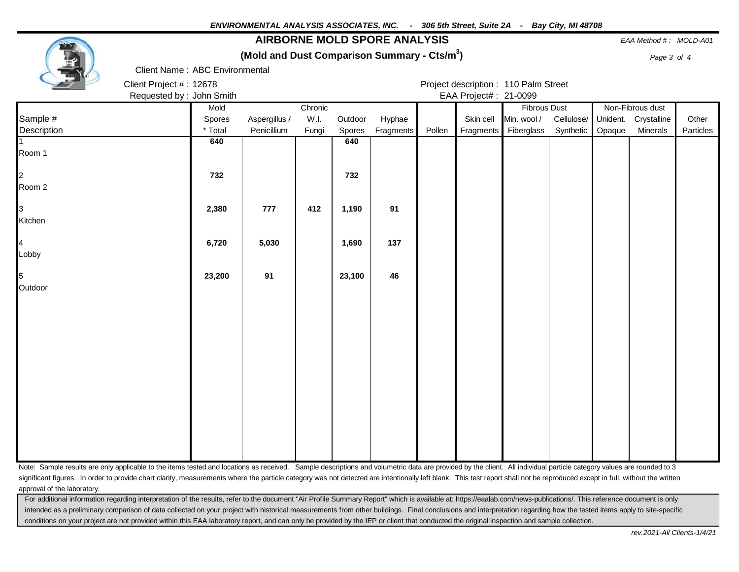### **AIRBORNE MOLD SPORE ANALYSIS** *EAA Method # : MOLD-A01*

**(Mold and Dust Comparison Summary - Cts/m<sup>3</sup>**

**)** *Page 3 of 4*



Client Name : ABC Environmental

Client Project # : 12678 Project description : 110 Palm Street Requested by : John Smith **EAA Project# : 21-0099** 

|                | Mold    |               | Chronic |         |                  |        |           | <b>Fibrous Dust</b>  |            |        | Non-Fibrous dust     |           |
|----------------|---------|---------------|---------|---------|------------------|--------|-----------|----------------------|------------|--------|----------------------|-----------|
| Sample #       | Spores  | Aspergillus / | W.I.    | Outdoor | Hyphae           |        | Skin cell | Min. wool /          | Cellulose/ |        | Unident. Crystalline | Other     |
| Description    | * Total | Penicillium   | Fungi   | Spores  | <b>Fragments</b> | Pollen |           | Fragments Fiberglass | Synthetic  | Opaque | Minerals             | Particles |
|                | 640     |               |         | 640     |                  |        |           |                      |            |        |                      |           |
| Room 1         |         |               |         |         |                  |        |           |                      |            |        |                      |           |
|                |         |               |         |         |                  |        |           |                      |            |        |                      |           |
| $\overline{a}$ | 732     |               |         | 732     |                  |        |           |                      |            |        |                      |           |
| Room 2         |         |               |         |         |                  |        |           |                      |            |        |                      |           |
|                |         |               |         |         |                  |        |           |                      |            |        |                      |           |
| 3              | 2,380   | 777           | 412     | 1,190   | 91               |        |           |                      |            |        |                      |           |
| Kitchen        |         |               |         |         |                  |        |           |                      |            |        |                      |           |
|                |         |               |         |         |                  |        |           |                      |            |        |                      |           |
| $\overline{4}$ | 6,720   | 5,030         |         | 1,690   | 137              |        |           |                      |            |        |                      |           |
| Lobby          |         |               |         |         |                  |        |           |                      |            |        |                      |           |
| 5              | 23,200  | 91            |         | 23,100  | 46               |        |           |                      |            |        |                      |           |
| Outdoor        |         |               |         |         |                  |        |           |                      |            |        |                      |           |
|                |         |               |         |         |                  |        |           |                      |            |        |                      |           |
|                |         |               |         |         |                  |        |           |                      |            |        |                      |           |
|                |         |               |         |         |                  |        |           |                      |            |        |                      |           |
|                |         |               |         |         |                  |        |           |                      |            |        |                      |           |
|                |         |               |         |         |                  |        |           |                      |            |        |                      |           |
|                |         |               |         |         |                  |        |           |                      |            |        |                      |           |
|                |         |               |         |         |                  |        |           |                      |            |        |                      |           |
|                |         |               |         |         |                  |        |           |                      |            |        |                      |           |
|                |         |               |         |         |                  |        |           |                      |            |        |                      |           |
|                |         |               |         |         |                  |        |           |                      |            |        |                      |           |
|                |         |               |         |         |                  |        |           |                      |            |        |                      |           |
|                |         |               |         |         |                  |        |           |                      |            |        |                      |           |
|                |         |               |         |         |                  |        |           |                      |            |        |                      |           |
|                |         |               |         |         |                  |        |           |                      |            |        |                      |           |
|                |         |               |         |         |                  |        |           |                      |            |        |                      |           |

Note: Sample results are only applicable to the items tested and locations as received. Sample descriptions and volumetric data are provided by the client. All individual particle category values are rounded to 3 significant figures. In order to provide chart clarity, measurements where the particle category was not detected are intentionally left blank. This test report shall not be reproduced except in full, without the written approval of the laboratory.

For additional information regarding interpretation of the results, refer to the document "Air Profile Summary Report" which is available at: https://eaalab.com/news-publications/. This reference document is only intended as a preliminary comparison of data collected on your project with historical measurements from other buildings. Final conclusions and interpretation regarding how the tested items apply to site-specific conditions on your project are not provided within this EAA laboratory report, and can only be provided by the IEP or client that conducted the original inspection and sample collection.